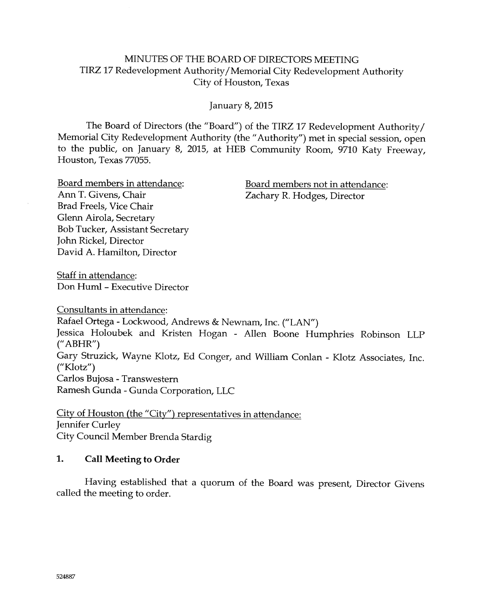## MINUTES OF THE BOARD OF DIRECTORS MEETING TIRZ 17 Redevelopment Authority/Memorial City Redevelopment Authority Citv of Houston, Texas

January 8, 2015

The Board of Directors (the "Board") of the TIRZ 17 Redevelopment Authority/ Memorial City Redevelopment Authority (the "Authority") met in special session, open to the public, on January 8, 2015, at HEB Community Room, 9710 Katy Freeway, Houston, Texas 77055.

Brad Freels, Vice Chair Glenn Airola, Secretary Bob Tucker, Assistant Secretary John Rickel, Director David A. Hamilton, Director

<u>Board members in attendance</u>: Board members not in attendance:<br>
Ann T. Givens, Chair<br>
Zacharv R. Hodges, Director Zachary R. Hodges, Director

Staff in attendance: Don Huml - Executive Director

Consultants in attendance: Rafael Ortega - Lockwood, Andrews & Newnam, Inc. ("LAN") Jessica Holoubek and Kristen Hogan - Allen Boone Humphries Robinson LLp  $("ABHR")$ Gary Sfruzick, Wayne Klotz, Ed Conger, and William Conlan - Klotz Associates, Inc. ("Klotz") Carlos Bujosa - Transwestern Ramesh Gunda - Gunda Corporation, LLC

City of Houston (the "City") representatives in attendance: Jennifer Curley City Council Member Brenda Stardig

## 1. Call Meeting to Order

Having established that a quorum of the Board was present, Director Givens called the meeting to order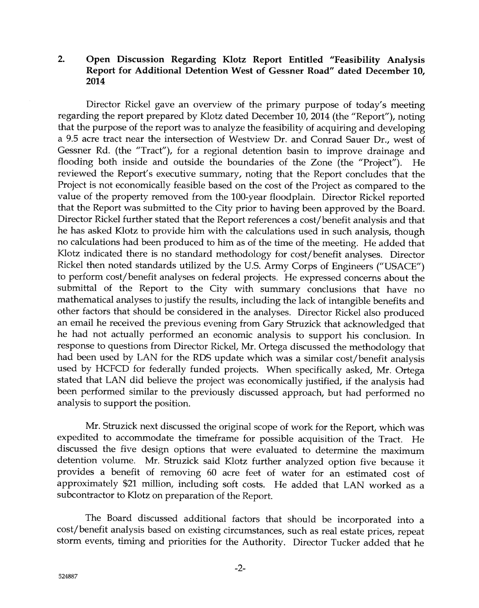### 2. Open Discussion Regarding Klotz Report Entitled "Feasibility Analysis Report for Additional Detention West of Gessner Road" dated December 10, 2014

Director Rickel gave an overview of the primary purpose of today's meeting regarding the report prepared by Klotz dated December 10, 2014 (the "Report"), noting that the purpose of the report was to analyze the feasibility of acquiring and developing a 9.5 acre tract near the intersection of Wesfview Dr. and Conrad Sauer Dr., west of Gessner Rd. (the "Tract"), for a regional detention basin to improve drainage and flooding both inside and outside the boundaries of the Zone (the "Project"). He reviewed the Report's executive summary, noting that the Report concludes that the Project is not economically feasible based on the cost of the Project as compared to the value of the property removed from the 100-year floodplain. Director Rickel reported that the Report was submitted to the City prior to having been approved by the Board. Director Rickel further stated that the Report references a cost/benefit analysis and that he has asked Klotz to provide him with the calculations used in such analysis, though no calculations had been produced to him as of the time of the meeting. He added that Klotz indicated there is no standard methodology for cost/benefit analyses. Director Rickel then noted standards utilized by the U.S. Army Corps of Engineers ("USACE") to perform cost/benefit analyses on federal projects. He expressed concerns about the submittal of the Report to the City with summary conclusions that have no mathematical analyses to justify the results, including the lack of intangible benefits and other factors that should be considered in the analyses. Director Rickel also produced an email he received the previous evening from Gary Struzick that acknowledged that he had not actually performed an economic analysis to support his conclusion. In response to questions from Director Rickel, Mr. Ortega discussed the methodology that had been used by LAN for the RDS update which was a similar cost/benefit analysis used by HCFCD for federally funded projects. When specifically asked, Mr. Ortega stated that LAN did believe the project was economically justified, if the analysis had been performed similar to the previously discussed approach, but had performed no analysis to support the position.

Mr. Struzick next discussed the original scope of work for the Report, which was expedited to accommodate the timeframe for possible acquisition of the Tract. He discussed the five design options that were evaluated to determine the maximum detention volume. Mr. Struzick said Klotz further analyzed option five because it provides a benefit of removing 60 acre feet of water for an estimated cost of apprcxirnately \$21 million, including soft costs. He added that LAN worked as <sup>a</sup> subcontractor to Klotz on preparation of the Report.

The Board discussed additional factors that should be incorporated into a cost/benefit analysis based on existing circumstances, such as real estate prices, repeat storm events, timing and priorities for the Authority. Director Tucker added that he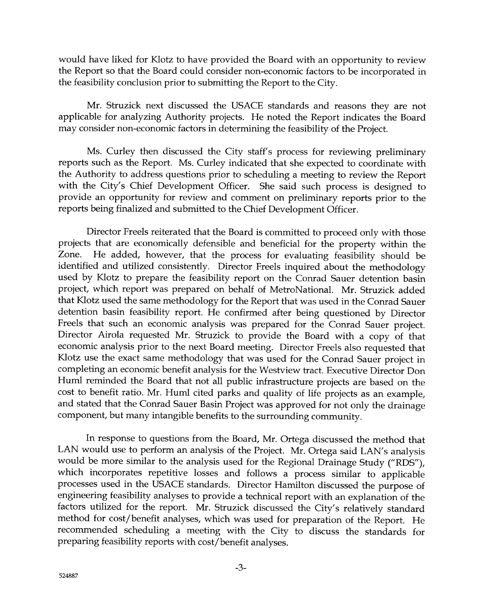would have liked for Klotz to have provided the Soard with an apporfunity to review the Report so that the Board could consider non-economic factors to be inccrporated in the feasibility conclusion prior to submitting ihe Report to the City.

Mr. Struzick next discussed the USACE standards and reasons they are not applicable for analyzing Authority projects. He noted the Repcrt indicates the Soard may consider non-economic factors in determining the feasibility of the Project.

Ms. Curley then discussed the City staff's process for reviewing preliminary reports such as the Report. Ms. Curley indicated that she expected to coordinate with the Authority to address questions prior to schedrling a meeting to review the Report with the City's Chief Development Officer. She said such process is designed to provide an opportunity for review and comment on preliminary reports prior to the reports being finalized and submitted to the Chief Development Officer.

Director Freels reiterated that the Board is committed to proceed only with those proiects that are economically defensible aad beneficial for the property within the Zone. He added, however, that the process for evaluating feasibility should be identified and utilized consistently. Director Freels inquired about the methodology used by Klotz to prepare the feasibility report on the Conrad Sauer detention basin project, which report was prepared an behalf of MetroNational. Mr. Struzick added that Klotz used the same methodology for the Report that was used in the Conrad Sauer detention basin feasibility report. He confirmed after being questioned by Director Freels that such an economic analysis was prepared for the Conrad Sauer project. Director Airola requested Mr. Struzick to provide the Board with a copy of that economic analysis prior to the next Board meeting. Director Freels also requested that Klotz use the exact same methodology that was used for the Conrad Sauer project in cornpleting an econornic benefit analysis for the Westview tract. Executive Director Don Huml reminded the Board that not all public infrastructure projects are based on the cost to benefit ratio. Mr. Huml cited parks and quality of life projects as an example, and stated that the Conrad Sauer Basin Project was approved for not only the drainage component, but many intangible benefits to the surrounding community.

In response to questions from the Board, Mr. Ortega discussed the method that LAN would use to perform an analysis of the Project. Mr. Ortega said LAN's analysis would be more similar to the analysis used for the Regional Drainage Study ("RDS"), which incorporates repetitive losses and follows a process similar to applicable processes used in the USACE standards. Director Hamilton discussed the purpose of engineering feasibility analyses to provide a technical report with an explanation af the factors utilized for the report. Mr. Struzick discussed the City's relatively standard method for cost/benefit analyses, which was used for preparation of the Report. He recommended scheduling a meeting with the City to discuss the standards for preparing feasibility reports with cost/benefit analyses.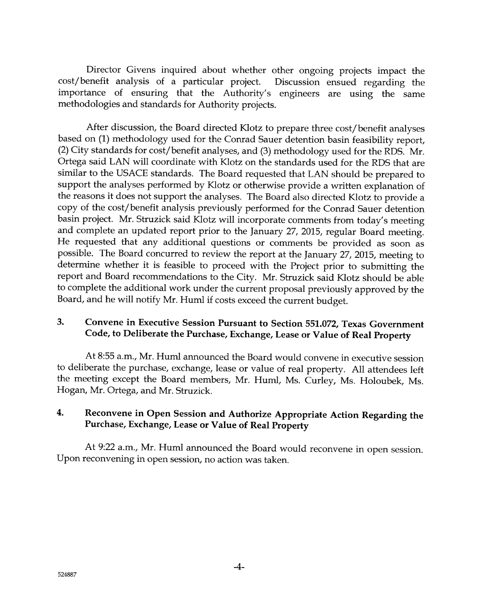Director Givens inquired about whether other ongoing projects impact the cost/benefit analysis of a particular project. Discussion ensued regarding the importance of ensuring that the Authority's engineers are using the same methodologies and standards for Authority projects.

After discussion, the Board directed Klotz to prepare three cost/benefit analyses based on (1) methodology used for the Conrad Sauer detention basin feasibility report, (2) City standards for cost/benefit analyses, and (3) methodology used for the RDS. Mr. Ortega said LAN will coordinate with Klotz on the standards used for the RDS that are similar to the USACE standards. The Board requested that LAN should be prepared to support the analyses performed by Klotz or otherwise provide a written explanation of the reasons it does not support the anaiyses. The Soard also directed Klotz to provide <sup>a</sup> copy of the cost/benefit analysis previously performed for the Conrad Sauer detention basin project. Mr. Struzick said Klotz will inccrporate comments from today's meefing and complete an updated report prior to the January 27, 2015, regular Board meeting. He requested that any additional questions or comments be provided as soon as possible. The Board concurred to review the report at the January 27, 2015, meeting to determine whether it is feasible to proceed with the Project prior to submitting the report and Board recommendations to the City. Mr. Struzick said Klotz should be able to complete the additional work under the current propcsal previously approved by the Board, and he will notify Mr. Huml if costs exceed the current budget.

# 3. Convene in Executive Session Pursuant to Section 551.072, Texas Government Code, to Deliberate the Purchase, Exchange, Lease or Value of Real Property

At 8:55 a.m., Mr. Huml announced the Board would convene in executive session to deliberate the purchase, exchange, lease or value of real property. All attendees left the meeting except the Board members, Mr. Huml, Ms. Curley, Ms. Holcubek, Ms. Hogan, Mr. Ortega, and Mr. Struzick.

## 4. Reconvene in Open Session and Authorize Appropriate Action Regarding the Purchase, Exchange, Lease or Value of Real Property

At 9:22 a.m., Mr. Huml announced the Board would reconvene in open session Upon reconvening in open session, no action was taken.